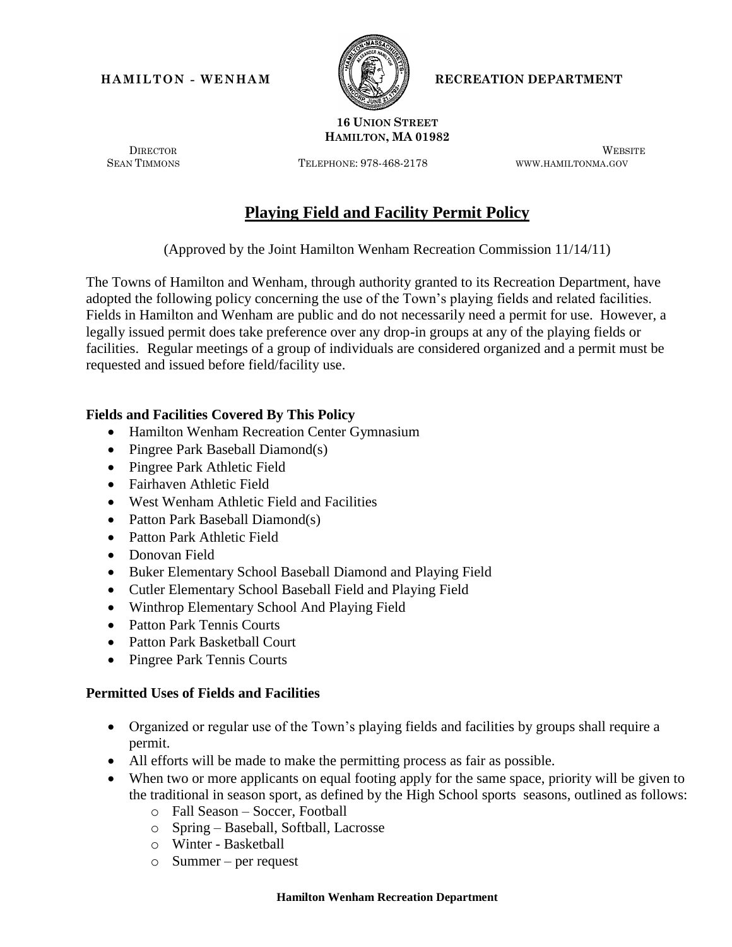

**HAMILTON - WENHAM RECREATION DEPARTMENT** 

#### **16 UNION STREET HAMILTON, MA 01982**

SEAN TIMMONS TELEPHONE: 978-468-2178 WWW.HAMILTONMA.GOV

DIRECTOR WEBSITE

# **Playing Field and Facility Permit Policy**

(Approved by the Joint Hamilton Wenham Recreation Commission 11/14/11)

The Towns of Hamilton and Wenham, through authority granted to its Recreation Department, have adopted the following policy concerning the use of the Town's playing fields and related facilities. Fields in Hamilton and Wenham are public and do not necessarily need a permit for use. However, a legally issued permit does take preference over any drop-in groups at any of the playing fields or facilities.Regular meetings of a group of individuals are considered organized and a permit must be requested and issued before field/facility use.

#### **Fields and Facilities Covered By This Policy**

- Hamilton Wenham Recreation Center Gymnasium
- Pingree Park Baseball Diamond(s)
- Pingree Park Athletic Field
- Fairhaven Athletic Field
- West Wenham Athletic Field and Facilities
- Patton Park Baseball Diamond(s)
- Patton Park Athletic Field
- Donovan Field
- Buker Elementary School Baseball Diamond and Playing Field
- Cutler Elementary School Baseball Field and Playing Field
- Winthrop Elementary School And Playing Field
- Patton Park Tennis Courts
- Patton Park Basketball Court
- Pingree Park Tennis Courts

#### **Permitted Uses of Fields and Facilities**

- Organized or regular use of the Town's playing fields and facilities by groups shall require a permit.
- All efforts will be made to make the permitting process as fair as possible.
- When two or more applicants on equal footing apply for the same space, priority will be given to the traditional in season sport, as defined by the High School sports seasons, outlined as follows:
	- o Fall Season Soccer, Football
	- o Spring Baseball, Softball, Lacrosse
	- o Winter Basketball
	- o Summer per request

#### **Hamilton Wenham Recreation Department**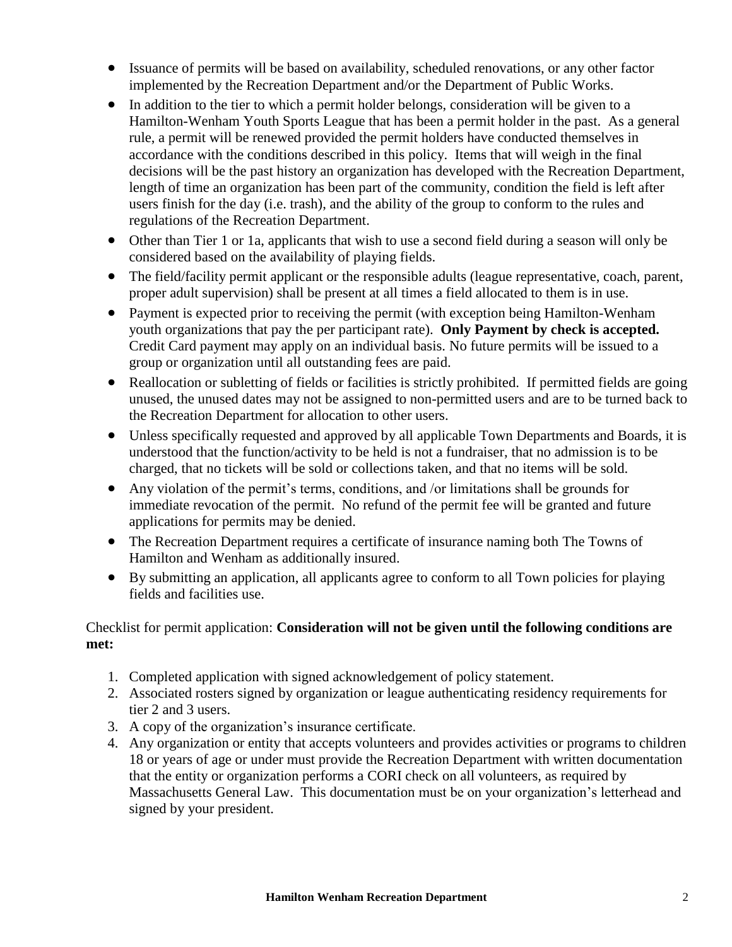- Issuance of permits will be based on availability, scheduled renovations, or any other factor implemented by the Recreation Department and/or the Department of Public Works.
- In addition to the tier to which a permit holder belongs, consideration will be given to a Hamilton-Wenham Youth Sports League that has been a permit holder in the past. As a general rule, a permit will be renewed provided the permit holders have conducted themselves in accordance with the conditions described in this policy. Items that will weigh in the final decisions will be the past history an organization has developed with the Recreation Department, length of time an organization has been part of the community, condition the field is left after users finish for the day (i.e. trash), and the ability of the group to conform to the rules and regulations of the Recreation Department.
- Other than Tier 1 or 1a, applicants that wish to use a second field during a season will only be considered based on the availability of playing fields.
- The field/facility permit applicant or the responsible adults (league representative, coach, parent, proper adult supervision) shall be present at all times a field allocated to them is in use.
- Payment is expected prior to receiving the permit (with exception being Hamilton-Wenham youth organizations that pay the per participant rate). **Only Payment by check is accepted.** Credit Card payment may apply on an individual basis. No future permits will be issued to a group or organization until all outstanding fees are paid.
- Reallocation or subletting of fields or facilities is strictly prohibited. If permitted fields are going unused, the unused dates may not be assigned to non-permitted users and are to be turned back to the Recreation Department for allocation to other users.
- Unless specifically requested and approved by all applicable Town Departments and Boards, it is understood that the function/activity to be held is not a fundraiser, that no admission is to be charged, that no tickets will be sold or collections taken, and that no items will be sold.
- Any violation of the permit's terms, conditions, and /or limitations shall be grounds for immediate revocation of the permit. No refund of the permit fee will be granted and future applications for permits may be denied.
- The Recreation Department requires a certificate of insurance naming both The Towns of Hamilton and Wenham as additionally insured.
- By submitting an application, all applicants agree to conform to all Town policies for playing fields and facilities use.

## Checklist for permit application: **Consideration will not be given until the following conditions are met:**

- 1. Completed application with signed acknowledgement of policy statement.
- 2. Associated rosters signed by organization or league authenticating residency requirements for tier 2 and 3 users.
- 3. A copy of the organization's insurance certificate.
- 4. Any organization or entity that accepts volunteers and provides activities or programs to children 18 or years of age or under must provide the Recreation Department with written documentation that the entity or organization performs a CORI check on all volunteers, as required by Massachusetts General Law. This documentation must be on your organization's letterhead and signed by your president.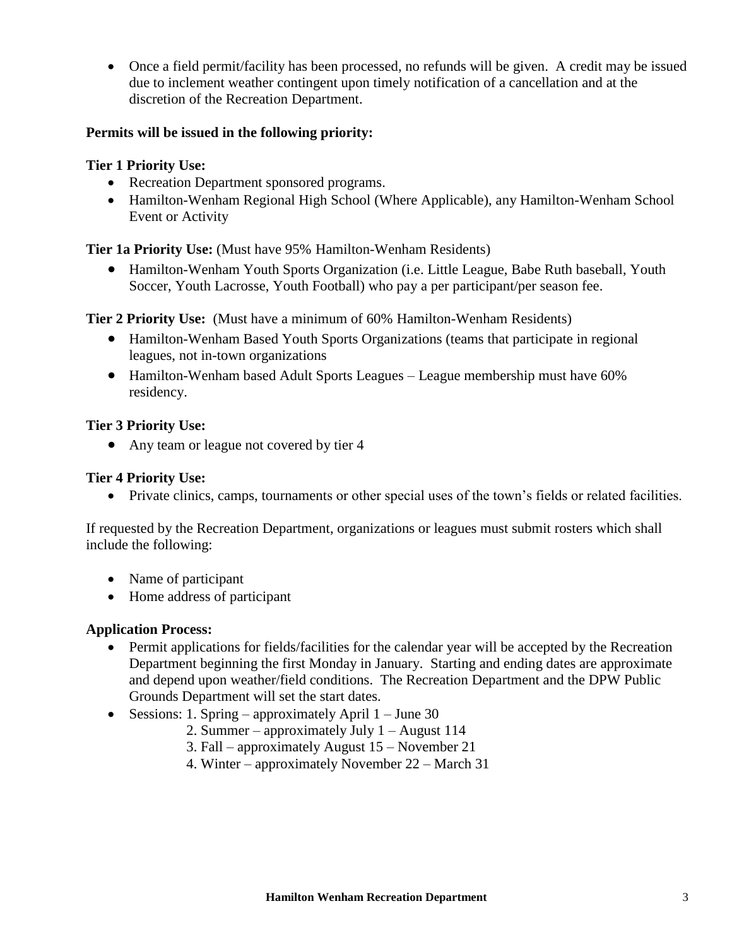Once a field permit/facility has been processed, no refunds will be given. A credit may be issued due to inclement weather contingent upon timely notification of a cancellation and at the discretion of the Recreation Department.

### **Permits will be issued in the following priority:**

#### **Tier 1 Priority Use:**

- Recreation Department sponsored programs.
- Hamilton-Wenham Regional High School (Where Applicable), any Hamilton-Wenham School Event or Activity

**Tier 1a Priority Use:** (Must have 95% Hamilton-Wenham Residents)

 Hamilton-Wenham Youth Sports Organization (i.e. Little League, Babe Ruth baseball, Youth Soccer, Youth Lacrosse, Youth Football) who pay a per participant/per season fee.

**Tier 2 Priority Use:** (Must have a minimum of 60% Hamilton-Wenham Residents)

- Hamilton-Wenham Based Youth Sports Organizations (teams that participate in regional leagues, not in-town organizations
- Hamilton-Wenham based Adult Sports Leagues League membership must have 60% residency.

#### **Tier 3 Priority Use:**

• Any team or league not covered by tier 4

#### **Tier 4 Priority Use:**

Private clinics, camps, tournaments or other special uses of the town's fields or related facilities.

If requested by the Recreation Department, organizations or leagues must submit rosters which shall include the following:

- Name of participant
- Home address of participant

#### **Application Process:**

- Permit applications for fields/facilities for the calendar year will be accepted by the Recreation Department beginning the first Monday in January. Starting and ending dates are approximate and depend upon weather/field conditions. The Recreation Department and the DPW Public Grounds Department will set the start dates.
- Sessions: 1. Spring approximately April  $1$  June 30
	- 2. Summer approximately July 1 August 114
	- 3. Fall approximately August 15 November 21
	- 4. Winter approximately November 22 March 31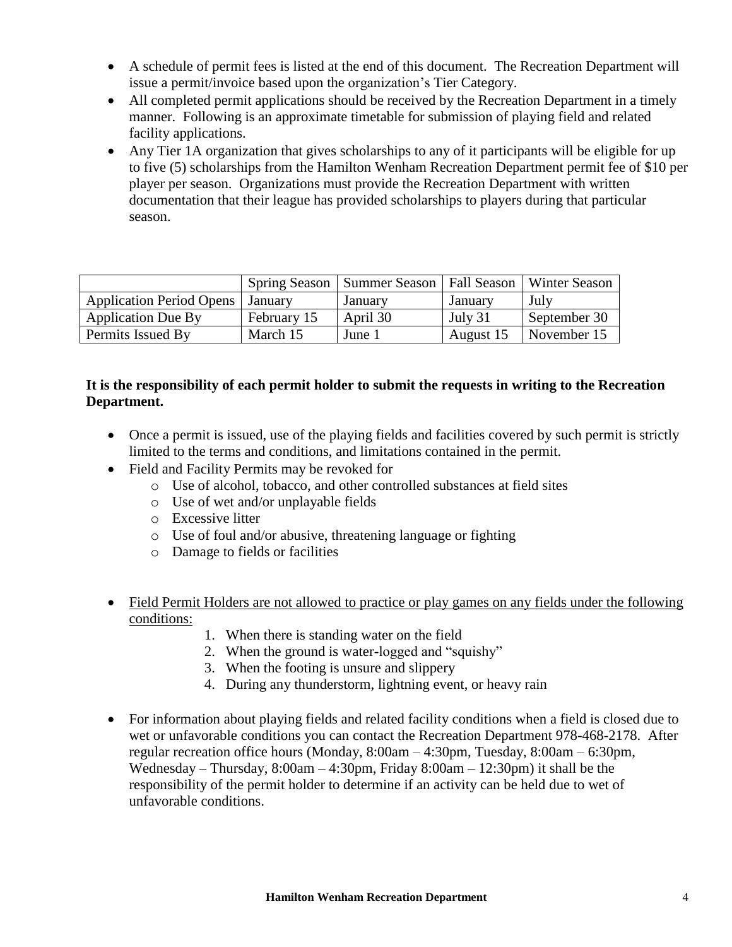- A schedule of permit fees is listed at the end of this document. The Recreation Department will issue a permit/invoice based upon the organization's Tier Category.
- All completed permit applications should be received by the Recreation Department in a timely manner. Following is an approximate timetable for submission of playing field and related facility applications.
- Any Tier 1A organization that gives scholarships to any of it participants will be eligible for up to five (5) scholarships from the Hamilton Wenham Recreation Department permit fee of \$10 per player per season. Organizations must provide the Recreation Department with written documentation that their league has provided scholarships to players during that particular season.

|                                 |             | Spring Season   Summer Season   Fall Season |           | <b>Winter Season</b> |
|---------------------------------|-------------|---------------------------------------------|-----------|----------------------|
| <b>Application Period Opens</b> | January     | January                                     | January   | July                 |
| <b>Application Due By</b>       | February 15 | April 30                                    | July 31   | September 30         |
| <b>Permits Issued By</b>        | March 15    | June 1                                      | August 15 | November 15          |

## **It is the responsibility of each permit holder to submit the requests in writing to the Recreation Department.**

- Once a permit is issued, use of the playing fields and facilities covered by such permit is strictly limited to the terms and conditions, and limitations contained in the permit.
- Field and Facility Permits may be revoked for
	- o Use of alcohol, tobacco, and other controlled substances at field sites
	- o Use of wet and/or unplayable fields
	- o Excessive litter
	- o Use of foul and/or abusive, threatening language or fighting
	- o Damage to fields or facilities
- Field Permit Holders are not allowed to practice or play games on any fields under the following conditions:
	- 1. When there is standing water on the field
	- 2. When the ground is water-logged and "squishy"
	- 3. When the footing is unsure and slippery
	- 4. During any thunderstorm, lightning event, or heavy rain
- For information about playing fields and related facility conditions when a field is closed due to wet or unfavorable conditions you can contact the Recreation Department 978-468-2178. After regular recreation office hours (Monday, 8:00am – 4:30pm, Tuesday, 8:00am – 6:30pm, Wednesday – Thursday, 8:00am – 4:30pm, Friday 8:00am – 12:30pm) it shall be the responsibility of the permit holder to determine if an activity can be held due to wet of unfavorable conditions.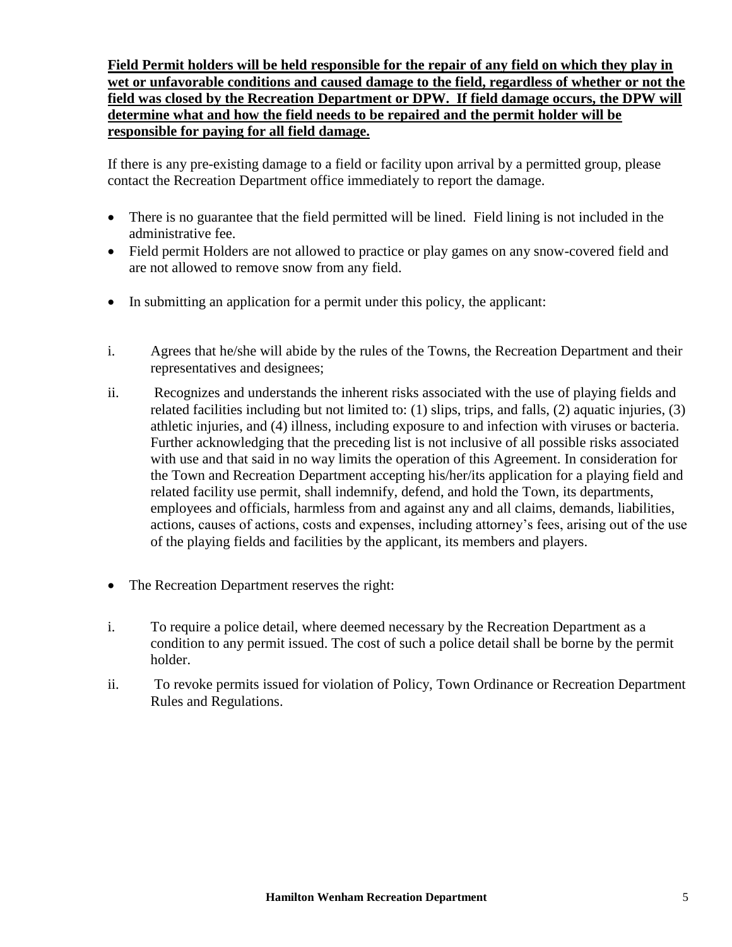**Field Permit holders will be held responsible for the repair of any field on which they play in wet or unfavorable conditions and caused damage to the field, regardless of whether or not the field was closed by the Recreation Department or DPW. If field damage occurs, the DPW will determine what and how the field needs to be repaired and the permit holder will be responsible for paying for all field damage.** 

If there is any pre-existing damage to a field or facility upon arrival by a permitted group, please contact the Recreation Department office immediately to report the damage.

- There is no guarantee that the field permitted will be lined. Field lining is not included in the administrative fee.
- Field permit Holders are not allowed to practice or play games on any snow-covered field and are not allowed to remove snow from any field.
- In submitting an application for a permit under this policy, the applicant:
- i. Agrees that he/she will abide by the rules of the Towns, the Recreation Department and their representatives and designees;
- ii. Recognizes and understands the inherent risks associated with the use of playing fields and related facilities including but not limited to: (1) slips, trips, and falls, (2) aquatic injuries, (3) athletic injuries, and (4) illness, including exposure to and infection with viruses or bacteria. Further acknowledging that the preceding list is not inclusive of all possible risks associated with use and that said in no way limits the operation of this Agreement. In consideration for the Town and Recreation Department accepting his/her/its application for a playing field and related facility use permit, shall indemnify, defend, and hold the Town, its departments, employees and officials, harmless from and against any and all claims, demands, liabilities, actions, causes of actions, costs and expenses, including attorney's fees, arising out of the use of the playing fields and facilities by the applicant, its members and players.
- The Recreation Department reserves the right:
- i. To require a police detail, where deemed necessary by the Recreation Department as a condition to any permit issued. The cost of such a police detail shall be borne by the permit holder.
- ii. To revoke permits issued for violation of Policy, Town Ordinance or Recreation Department Rules and Regulations.